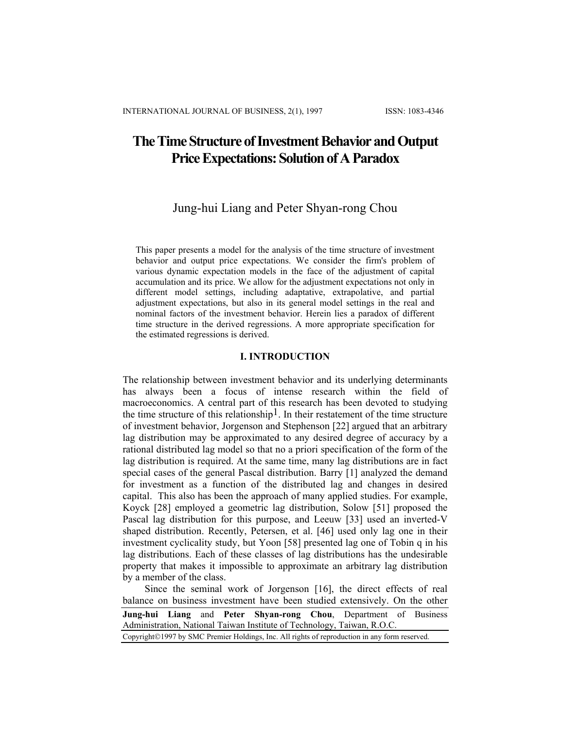# **The Time Structure of Investment Behavior and Output Price Expectations: Solution of A Paradox**

# Jung-hui Liang and Peter Shyan-rong Chou

This paper presents a model for the analysis of the time structure of investment behavior and output price expectations. We consider the firm's problem of various dynamic expectation models in the face of the adjustment of capital accumulation and its price. We allow for the adjustment expectations not only in different model settings, including adaptative, extrapolative, and partial adjustment expectations, but also in its general model settings in the real and nominal factors of the investment behavior. Herein lies a paradox of different time structure in the derived regressions. A more appropriate specification for the estimated regressions is derived.

### **I. INTRODUCTION**

The relationship between investment behavior and its underlying determinants has always been a focus of intense research within the field of macroeconomics. A central part of this research has been devoted to studying the time structure of this relationship<sup>1</sup>. In their restatement of the time structure of investment behavior, Jorgenson and Stephenson [22] argued that an arbitrary lag distribution may be approximated to any desired degree of accuracy by a rational distributed lag model so that no a priori specification of the form of the lag distribution is required. At the same time, many lag distributions are in fact special cases of the general Pascal distribution. Barry [1] analyzed the demand for investment as a function of the distributed lag and changes in desired capital. This also has been the approach of many applied studies. For example, Koyck [28] employed a geometric lag distribution, Solow [51] proposed the Pascal lag distribution for this purpose, and Leeuw [33] used an inverted-V shaped distribution. Recently, Petersen, et al. [46] used only lag one in their investment cyclicality study, but Yoon [58] presented lag one of Tobin q in his lag distributions. Each of these classes of lag distributions has the undesirable property that makes it impossible to approximate an arbitrary lag distribution by a member of the class.

**Jung-hui Liang** and **Peter Shyan-rong Chou**, Department of Business Administration, National Taiwan Institute of Technology, Taiwan, R.O.C. Copyright©1997 by SMC Premier Holdings, Inc. All rights of reproduction in any form reserved. Since the seminal work of Jorgenson [16], the direct effects of real balance on business investment have been studied extensively. On the other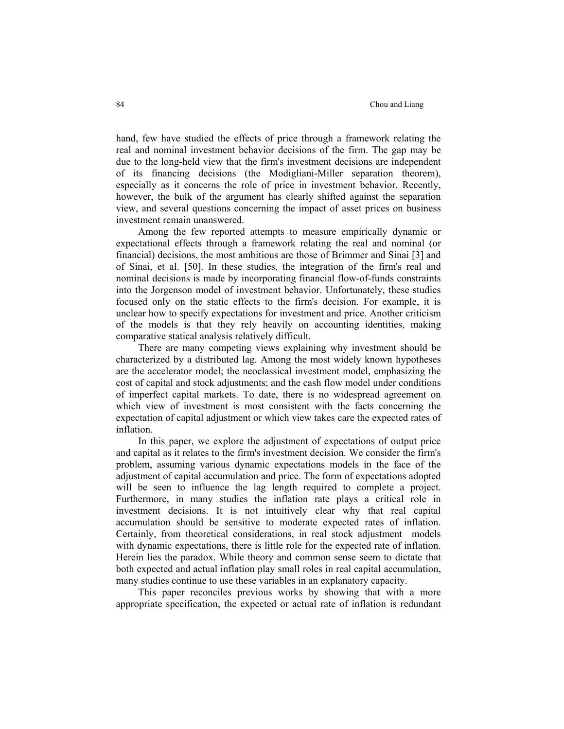hand, few have studied the effects of price through a framework relating the real and nominal investment behavior decisions of the firm. The gap may be due to the long-held view that the firm's investment decisions are independent of its financing decisions (the Modigliani-Miller separation theorem), especially as it concerns the role of price in investment behavior. Recently, however, the bulk of the argument has clearly shifted against the separation view, and several questions concerning the impact of asset prices on business investment remain unanswered.

 Among the few reported attempts to measure empirically dynamic or expectational effects through a framework relating the real and nominal (or financial) decisions, the most ambitious are those of Brimmer and Sinai [3] and of Sinai, et al. [50]. In these studies, the integration of the firm's real and nominal decisions is made by incorporating financial flow-of-funds constraints into the Jorgenson model of investment behavior. Unfortunately, these studies focused only on the static effects to the firm's decision. For example, it is unclear how to specify expectations for investment and price. Another criticism of the models is that they rely heavily on accounting identities, making comparative statical analysis relatively difficult.

 There are many competing views explaining why investment should be characterized by a distributed lag. Among the most widely known hypotheses are the accelerator model; the neoclassical investment model, emphasizing the cost of capital and stock adjustments; and the cash flow model under conditions of imperfect capital markets. To date, there is no widespread agreement on which view of investment is most consistent with the facts concerning the expectation of capital adjustment or which view takes care the expected rates of inflation.

 In this paper, we explore the adjustment of expectations of output price and capital as it relates to the firm's investment decision. We consider the firm's problem, assuming various dynamic expectations models in the face of the adjustment of capital accumulation and price. The form of expectations adopted will be seen to influence the lag length required to complete a project. Furthermore, in many studies the inflation rate plays a critical role in investment decisions. It is not intuitively clear why that real capital accumulation should be sensitive to moderate expected rates of inflation. Certainly, from theoretical considerations, in real stock adjustment models with dynamic expectations, there is little role for the expected rate of inflation. Herein lies the paradox. While theory and common sense seem to dictate that both expected and actual inflation play small roles in real capital accumulation, many studies continue to use these variables in an explanatory capacity.

 This paper reconciles previous works by showing that with a more appropriate specification, the expected or actual rate of inflation is redundant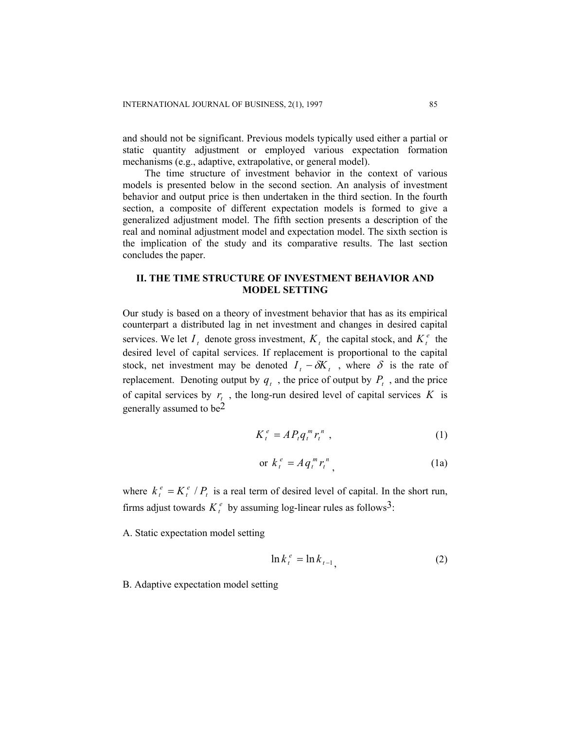and should not be significant. Previous models typically used either a partial or static quantity adjustment or employed various expectation formation mechanisms (e.g., adaptive, extrapolative, or general model).

The time structure of investment behavior in the context of various models is presented below in the second section. An analysis of investment behavior and output price is then undertaken in the third section. In the fourth section, a composite of different expectation models is formed to give a generalized adjustment model. The fifth section presents a description of the real and nominal adjustment model and expectation model. The sixth section is the implication of the study and its comparative results. The last section concludes the paper.

# **II. THE TIME STRUCTURE OF INVESTMENT BEHAVIOR AND MODEL SETTING**

Our study is based on a theory of investment behavior that has as its empirical counterpart a distributed lag in net investment and changes in desired capital services. We let  $I_t$  denote gross investment,  $K_t$  the capital stock, and  $K_t^e$  the desired level of capital services. If replacement is proportional to the capital stock, net investment may be denoted  $I_t - \delta K_t$ , where  $\delta$  is the rate of replacement. Denoting output by  $q_t$ , the price of output by  $P_t$ , and the price of capital services by  $r_t$ , the long-run desired level of capital services  $K$  is generally assumed to be $2$ 

$$
K_t^e = AP_t q_t^m r_t^n \t\t(1)
$$

$$
\text{or } k_t^e = A q_t^m r_t^n \tag{1a}
$$

where  $k_t^e = K_t^e / P_t$  is a real term of desired level of capital. In the short run, firms adjust towards  $K_t^e$  by assuming log-linear rules as follows<sup>3</sup>:  $= K_t^e / P_t$ 

A. Static expectation model setting

$$
\ln k_t^e = \ln k_{t-1},\tag{2}
$$

B. Adaptive expectation model setting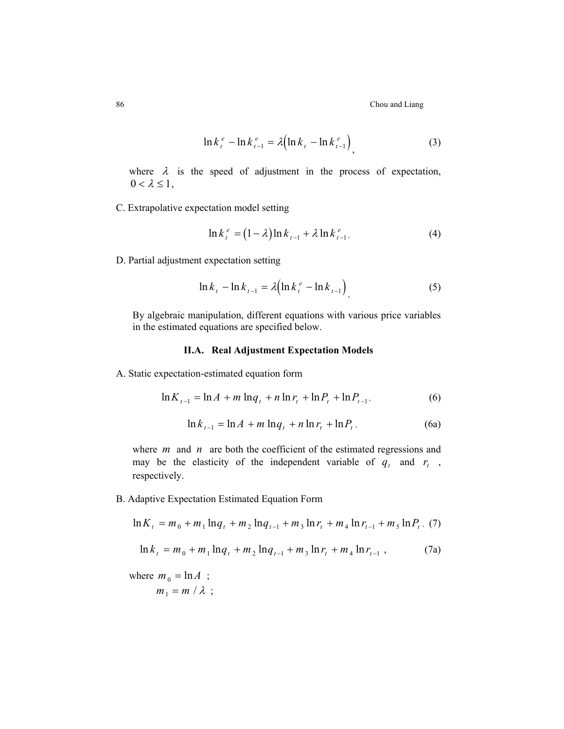86 Chou and Liang

$$
\ln k_{t}^{e} - \ln k_{t-1}^{e} = \lambda \Bigl( \ln k_{t} - \ln k_{t-1}^{e} \Bigr) \tag{3}
$$

where  $\lambda$  is the speed of adjustment in the process of expectation,  $0 < \lambda \leq 1$ ,

C. Extrapolative expectation model setting

$$
\ln k_t^e = (1 - \lambda) \ln k_{t-1} + \lambda \ln k_{t-1}^e,
$$
 (4)

D. Partial adjustment expectation setting

$$
\ln k_{t} - \ln k_{t-1} = \lambda \Bigl( \ln k_{t}^{e} - \ln k_{t-1} \Bigr) \tag{5}
$$

By algebraic manipulation, different equations with various price variables in the estimated equations are specified below.

### **II.A. Real Adjustment Expectation Models**

A. Static expectation-estimated equation form

$$
\ln K_{t-1} = \ln A + m \ln q_t + n \ln r_t + \ln P_t + \ln P_{t-1},
$$
\n(6)

$$
\ln k_{t-1} = \ln A + m \ln q_t + n \ln r_t + \ln P_t, \tag{6a}
$$

where  $m$  and  $n$  are both the coefficient of the estimated regressions and may be the elasticity of the independent variable of  $q_t$  and  $r_t$ , respectively.

B. Adaptive Expectation Estimated Equation Form

$$
\ln K_{t} = m_{0} + m_{1} \ln q_{t} + m_{2} \ln q_{t-1} + m_{3} \ln r_{t} + m_{4} \ln r_{t-1} + m_{5} \ln P_{t}, (7)
$$

$$
\ln k_{t} = m_{0} + m_{1} \ln q_{t} + m_{2} \ln q_{t-1} + m_{3} \ln r_{t} + m_{4} \ln r_{t-1} , \qquad (7a)
$$

where  $m_0 = \ln A$ ;  $m_1 = m / \lambda$ ;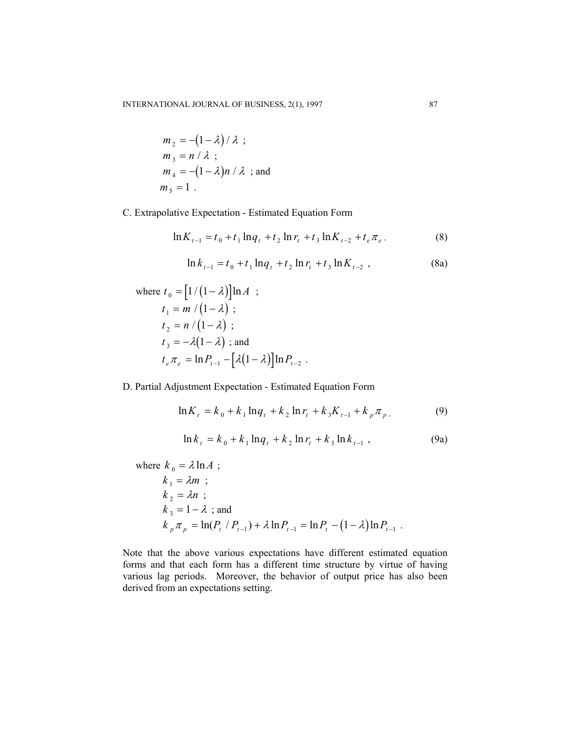$$
m_2 = -(1 - \lambda) / \lambda ;
$$
  
\n
$$
m_3 = n / \lambda ;
$$
  
\n
$$
m_4 = -(1 - \lambda)n / \lambda ;
$$
 and  
\n
$$
m_5 = 1 .
$$

C. Extrapolative Expectation - Estimated Equation Form

$$
\ln K_{t-1} = t_0 + t_1 \ln q_t + t_2 \ln r_t + t_3 \ln K_{t-2} + t_e \pi_e, \tag{8}
$$

$$
\ln k_{t-1} = t_0 + t_1 \ln q_t + t_2 \ln r_t + t_3 \ln K_{t-2} , \qquad (8a)
$$

where 
$$
t_0 = [1/(1 - \lambda)]\ln A
$$
;  
\n $t_1 = m/(1 - \lambda)$ ;  
\n $t_2 = n/(1 - \lambda)$ ;  
\n $t_3 = -\lambda(1 - \lambda)$ ; and  
\n $t_e \pi_e = \ln P_{t-1} - [\lambda(1 - \lambda)]\ln P_{t-2}$ .

D. Partial Adjustment Expectation - Estimated Equation Form

$$
\ln K_{t} = k_{0} + k_{1} \ln q_{t} + k_{2} \ln r_{t} + k_{3} K_{t-1} + k_{p} \pi_{p}, \qquad (9)
$$

$$
\ln k_{t} = k_{0} + k_{1} \ln q_{t} + k_{2} \ln r_{t} + k_{3} \ln k_{t-1}, \qquad (9a)
$$

where  $k_0 = \lambda \ln A$ ;

$$
k_1 = \lambda m ;\nk_2 = \lambda n ;\nk_3 = 1 - \lambda ; and\nk_p \pi_p = \ln(P_t / P_{t-1}) + \lambda \ln P_{t-1} = \ln P_t - (1 - \lambda) \ln P_{t-1} .
$$

Note that the above various expectations have different estimated equation forms and that each form has a different time structure by virtue of having various lag periods. Moreover, the behavior of output price has also been derived from an expectations setting.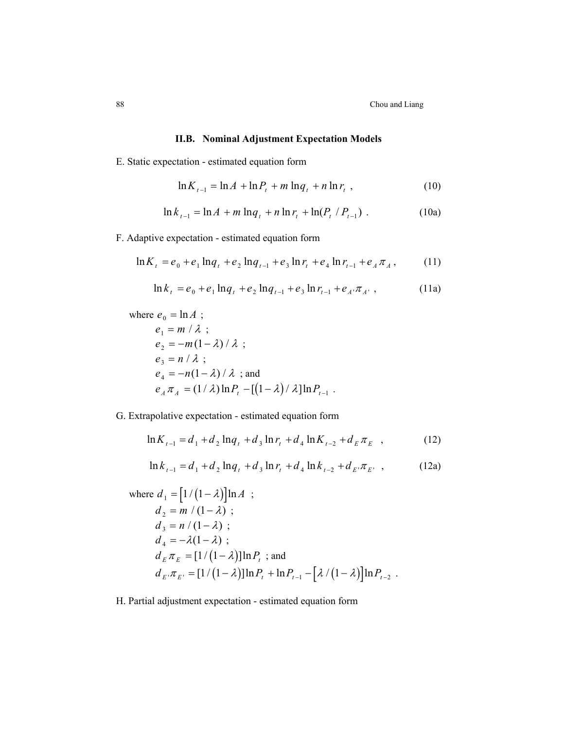## **II.B. Nominal Adjustment Expectation Models**

E. Static expectation - estimated equation form

$$
\ln K_{t-1} = \ln A + \ln P_t + m \ln q_t + n \ln r_t , \qquad (10)
$$

$$
\ln k_{t-1} = \ln A + m \ln q_t + n \ln r_t + \ln(P_t / P_{t-1}) \tag{10a}
$$

F. Adaptive expectation - estimated equation form

$$
\ln K_{t} = e_0 + e_1 \ln q_{t} + e_2 \ln q_{t-1} + e_3 \ln r_{t} + e_4 \ln r_{t-1} + e_A \pi_A, \qquad (11)
$$

$$
\ln k_t = e_0 + e_1 \ln q_t + e_2 \ln q_{t-1} + e_3 \ln r_{t-1} + e_A \pi_{A^*}, \qquad (11a)
$$

where  $e_0 = \ln A$ ;  $e_1 = m / \lambda$ ;  $e_2 = -m(1 - \lambda)/\lambda$ ;  $e_3 = n / \lambda$ ;  $e_4 = -n(1 - \lambda) / \lambda$ ; and  $e_A \pi_A = (1/\lambda) \ln P_t - [(1-\lambda)/\lambda] \ln P_{t-1}$ .

G. Extrapolative expectation - estimated equation form

$$
\ln K_{t-1} = d_1 + d_2 \ln q_t + d_3 \ln r_t + d_4 \ln K_{t-2} + d_E \pi_E , \qquad (12)
$$

$$
\ln k_{t-1} = d_1 + d_2 \ln q_t + d_3 \ln r_t + d_4 \ln k_{t-2} + d_E \pi_E, \quad (12a)
$$

where 
$$
d_1 = [1/(1 - \lambda)]\ln A
$$
;  
\n $d_2 = m/(1 - \lambda)$ ;  
\n $d_3 = n/(1 - \lambda)$ ;  
\n $d_4 = -\lambda(1 - \lambda)$ ;  
\n $d_E \pi_E = [1/(1 - \lambda)]\ln P_t$ ; and  
\n $d_E \pi_E = [1/(1 - \lambda)]\ln P_t + \ln P_{t-1} - [\lambda/(1 - \lambda)]\ln P_{t-2}$ .

H. Partial adjustment expectation - estimated equation form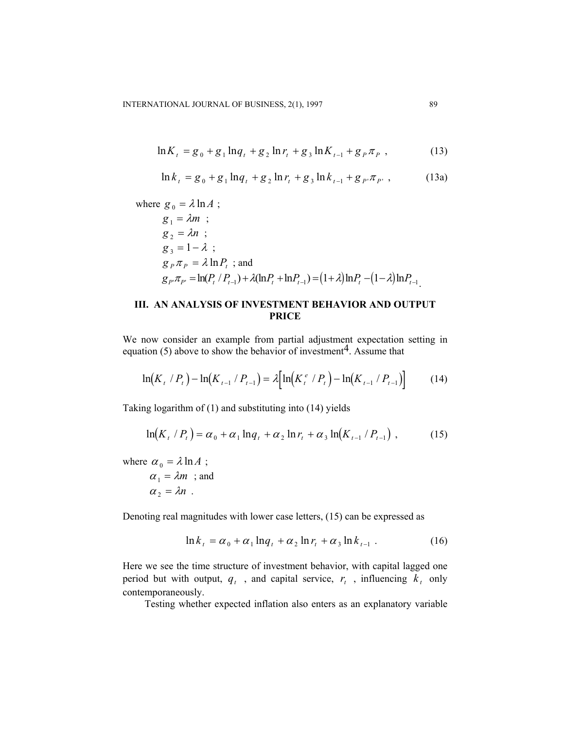$$
\ln K_{t} = g_{0} + g_{1} \ln q_{t} + g_{2} \ln r_{t} + g_{3} \ln K_{t-1} + g_{P} \pi_{P} , \qquad (13)
$$

$$
\ln k_{t} = g_{0} + g_{1} \ln q_{t} + g_{2} \ln r_{t} + g_{3} \ln k_{t-1} + g_{P'} \pi_{P'} , \qquad (13a)
$$

where  $g_0 = \lambda \ln A$ ;  $g_1 = \lambda m$ ;  $g_2 = \lambda n$ ;  $g_3 = 1 - \lambda$ ;  $g_p \pi_p = \lambda \ln P_t$ ; and  $g_{P'}\pi_{P'} = \ln(P_t / P_{t-1}) + \lambda(\ln P_t + \ln P_{t-1}) = (1 + \lambda)\ln P_t - (1 - \lambda)\ln P_{t-1}$ 

# **III. AN ANALYSIS OF INVESTMENT BEHAVIOR AND OUTPUT PRICE**

We now consider an example from partial adjustment expectation setting in equation (5) above to show the behavior of investment<sup>4</sup>. Assume that

$$
\ln(K_t/P_t) - \ln(K_{t-1}/P_{t-1}) = \lambda \Big[ \ln(K_t^e/P_t) - \ln(K_{t-1}/P_{t-1}) \Big] \tag{14}
$$

Taking logarithm of (1) and substituting into (14) yields

$$
\ln(K_t / P_t) = \alpha_0 + \alpha_1 \ln q_t + \alpha_2 \ln r_t + \alpha_3 \ln(K_{t-1} / P_{t-1}), \qquad (15)
$$

where  $\alpha_0 = \lambda \ln A$ ;

$$
\alpha_1 = \lambda m \quad ; \text{and} \quad \alpha_2 = \lambda n \quad .
$$

Denoting real magnitudes with lower case letters, (15) can be expressed as

$$
\ln k_{t} = \alpha_{0} + \alpha_{1} \ln q_{t} + \alpha_{2} \ln r_{t} + \alpha_{3} \ln k_{t-1} \tag{16}
$$

Here we see the time structure of investment behavior, with capital lagged one period but with output,  $q_t$ , and capital service,  $r_t$ , influencing  $k_t$  only contemporaneously.

Testing whether expected inflation also enters as an explanatory variable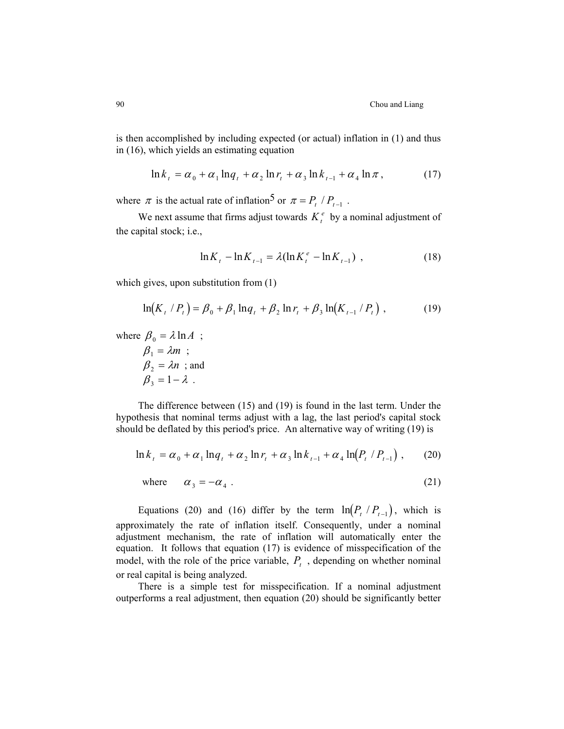is then accomplished by including expected (or actual) inflation in (1) and thus in (16), which yields an estimating equation

$$
\ln k_{t} = \alpha_{0} + \alpha_{1} \ln q_{t} + \alpha_{2} \ln r_{t} + \alpha_{3} \ln k_{t-1} + \alpha_{4} \ln \pi, \qquad (17)
$$

where  $\pi$  is the actual rate of inflation<sup>5</sup> or  $\pi = P_t / P_{t-1}$ .

We next assume that firms adjust towards  $K_t^e$  by a nominal adjustment of the capital stock; i.e.,

$$
\ln K_{t} - \ln K_{t-1} = \lambda (\ln K_{t}^{e} - \ln K_{t-1}) \tag{18}
$$

which gives, upon substitution from  $(1)$ 

$$
\ln(K_t / P_t) = \beta_0 + \beta_1 \ln q_t + \beta_2 \ln r_t + \beta_3 \ln(K_{t-1} / P_t),
$$
 (19)

where  $\beta_0 = \lambda \ln A$ ;

$$
\beta_1 = \lambda m ;
$$
  
\n
$$
\beta_2 = \lambda n ;
$$
 and  
\n
$$
\beta_3 = 1 - \lambda .
$$

The difference between (15) and (19) is found in the last term. Under the hypothesis that nominal terms adjust with a lag, the last period's capital stock should be deflated by this period's price. An alternative way of writing (19) is

$$
\ln k_{t} = \alpha_{0} + \alpha_{1} \ln q_{t} + \alpha_{2} \ln r_{t} + \alpha_{3} \ln k_{t-1} + \alpha_{4} \ln (P_{t} / P_{t-1}), \qquad (20)
$$

where 
$$
\alpha_3 = -\alpha_4
$$
. (21)

Equations (20) and (16) differ by the term  $\ln(P_t / P_{t-1})$ , which is approximately the rate of inflation itself. Consequently, under a nominal adjustment mechanism, the rate of inflation will automatically enter the equation. It follows that equation (17) is evidence of misspecification of the model, with the role of the price variable,  $P_t$ , depending on whether nominal or real capital is being analyzed.

There is a simple test for misspecification. If a nominal adjustment outperforms a real adjustment, then equation (20) should be significantly better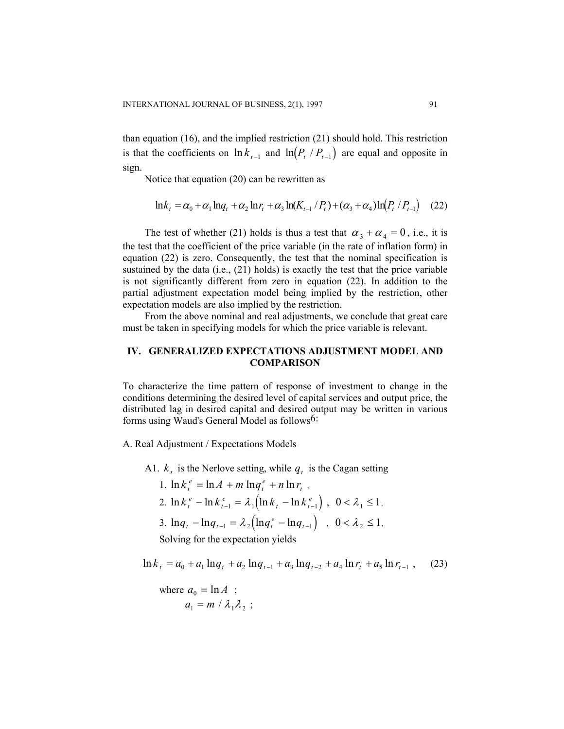than equation (16), and the implied restriction (21) should hold. This restriction is that the coefficients on  $\ln k_{t-1}$  and  $\ln(P_t/P_{t-1})$  are equal and opposite in sign.

Notice that equation (20) can be rewritten as

$$
\ln k_t = \alpha_0 + \alpha_1 \ln q_t + \alpha_2 \ln r_t + \alpha_3 \ln(K_{t-1}/P_t) + (\alpha_3 + \alpha_4) \ln(P_t/P_{t-1}) \quad (22)
$$

The test of whether (21) holds is thus a test that  $\alpha_3 + \alpha_4 = 0$ , i.e., it is the test that the coefficient of the price variable (in the rate of inflation form) in equation (22) is zero. Consequently, the test that the nominal specification is sustained by the data (i.e.,  $(21)$  holds) is exactly the test that the price variable is not significantly different from zero in equation (22). In addition to the partial adjustment expectation model being implied by the restriction, other expectation models are also implied by the restriction.

From the above nominal and real adjustments, we conclude that great care must be taken in specifying models for which the price variable is relevant.

## **IV. GENERALIZED EXPECTATIONS ADJUSTMENT MODEL AND COMPARISON**

To characterize the time pattern of response of investment to change in the conditions determining the desired level of capital services and output price, the distributed lag in desired capital and desired output may be written in various forms using Waud's General Model as follows6:

A. Real Adjustment / Expectations Models

A1.  $k_t$  is the Nerlove setting, while  $q_t$  is the Cagan setting

1.  $\ln k_i^e = \ln A + m \ln q_i^e + n \ln r_i$ , 2.  $\ln k_{t}^{e} - \ln k_{t-1}^{e} = \lambda_1 (\ln k_{t} - \ln k_{t-1}^{e})$ *e*  $-\ln k_{t-1}^e = \lambda_1 \left(\ln k_t - \ln k_{t-1}^e\right)$ ,  $0 < \lambda_1 \le 1$ , 3.  $\ln q_t - \ln q_{t-1} = \lambda_2 (\ln q_t^e - \ln q_{t-1})$ ,  $0 < \lambda_2 \le 1$ , Solving for the expectation yields

 $\ln k_t = a_0 + a_1 \ln q_t + a_2 \ln q_{t-1} + a_3 \ln q_{t-2} + a_4 \ln r_t + a_5 \ln r_{t-1}$  $(23)$ 

where 
$$
a_0 = \ln A
$$
 ;  
\n $a_1 = m / \lambda_1 \lambda_2$ ;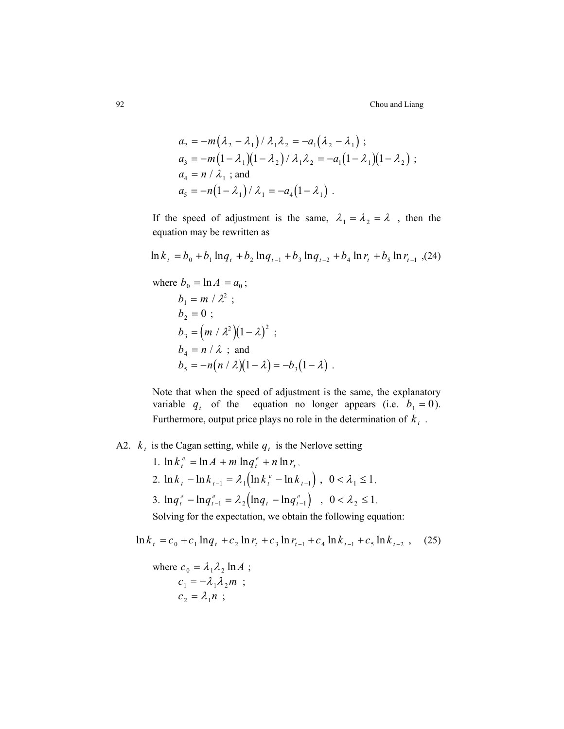92 Chou and Liang

$$
a_2 = -m(\lambda_2 - \lambda_1) / \lambda_1 \lambda_2 = -a_1(\lambda_2 - \lambda_1) ;
$$
  
\n
$$
a_3 = -m(1 - \lambda_1)(1 - \lambda_2) / \lambda_1 \lambda_2 = -a_1(1 - \lambda_1)(1 - \lambda_2) ;
$$
  
\n
$$
a_4 = n / \lambda_1 ;
$$
 and  
\n
$$
a_5 = -n(1 - \lambda_1) / \lambda_1 = -a_4(1 - \lambda_1) .
$$

If the speed of adjustment is the same,  $\lambda_1 = \lambda_2 = \lambda$ , then the equation may be rewritten as

$$
\ln k_{t} = b_{0} + b_{1} \ln q_{t} + b_{2} \ln q_{t-1} + b_{3} \ln q_{t-2} + b_{4} \ln r_{t} + b_{5} \ln r_{t-1} \tag{24}
$$

where  $b_0 = \ln A = a_0$ ;

$$
b_1 = m / \lambda^2 ;
$$
  
\n
$$
b_2 = 0 ;
$$
  
\n
$$
b_3 = (m / \lambda^2) (1 - \lambda)^2 ;
$$
  
\n
$$
b_4 = n / \lambda ;
$$
 and  
\n
$$
b_5 = -n(n / \lambda) (1 - \lambda) = -b_3 (1 - \lambda) .
$$

Note that when the speed of adjustment is the same, the explanatory variable  $q_t$  of the equation no longer appears (i.e.  $b_1 = 0$ ). Furthermore, output price plays no role in the determination of  $k_t$ .

A2.  $k_t$  is the Cagan setting, while  $q_t$  is the Nerlove setting

1.  $\ln k_t^e = \ln A + m \ln q_t^e + n \ln r_t$ , 2.  $\ln k_{t} - \ln k_{t-1} = \lambda_1 \left( \ln k_{t}^{e} - \ln k_{t-1} \right)$ ,  $0 < \lambda_1 \leq 1$ , 3.  $\ln q_t^e - \ln q_{t-1}^e = \lambda_2 (\ln q_t - \ln q_{t-1}^e)$ *e*  $-\ln q_{t-1}^e = \lambda_2 (\ln q_t - \ln q_{t-1}^e)$ ,  $0 < \lambda_2 \le 1$ ,

Solving for the expectation, we obtain the following equation:

$$
\ln k_{t} = c_{0} + c_{1} \ln q_{t} + c_{2} \ln r_{t} + c_{3} \ln r_{t-1} + c_{4} \ln k_{t-1} + c_{5} \ln k_{t-2} , \quad (25)
$$

where 
$$
c_0 = \lambda_1 \lambda_2 \ln A
$$
;  
\n $c_1 = -\lambda_1 \lambda_2 m$ ;  
\n $c_2 = \lambda_1 n$ ;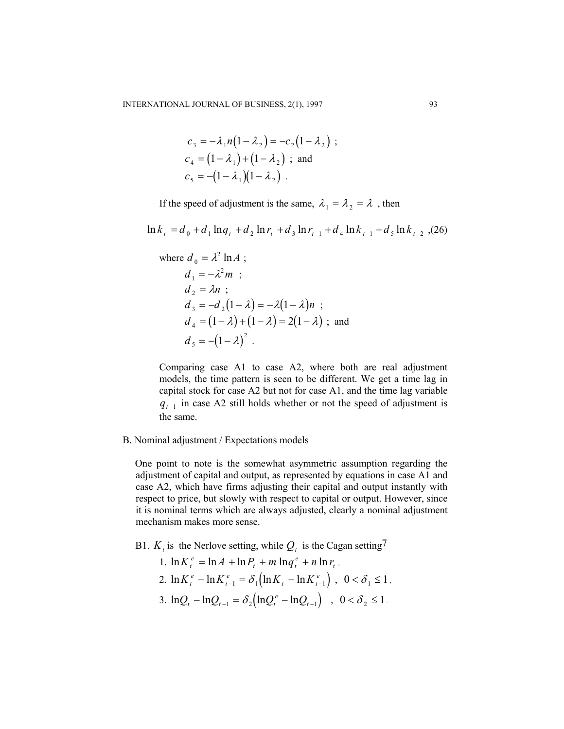$$
c_3 = -\lambda_1 n(1 - \lambda_2) = -c_2(1 - \lambda_2) ;
$$
  
\n
$$
c_4 = (1 - \lambda_1) + (1 - \lambda_2) ;
$$
 and  
\n
$$
c_5 = -(1 - \lambda_1)(1 - \lambda_2) .
$$

If the speed of adjustment is the same,  $\lambda_1 = \lambda_2 = \lambda$ , then

 $\ln k_t = d_0 + d_1 \ln q_t + d_2 \ln r_t + d_3 \ln r_{t-1} + d_4 \ln k_{t-1} + d_5 \ln k_{t-2}$ , (26)

where 
$$
d_0 = \lambda^2 \ln A
$$
;  
\n $d_1 = -\lambda^2 m$ ;  
\n $d_2 = \lambda n$ ;  
\n $d_3 = -d_2(1-\lambda) = -\lambda(1-\lambda)n$ ;  
\n $d_4 = (1-\lambda) + (1-\lambda) = 2(1-\lambda)$ ; and  
\n $d_5 = -(1-\lambda)^2$ .

Comparing case A1 to case A2, where both are real adjustment models, the time pattern is seen to be different. We get a time lag in capital stock for case A2 but not for case A1, and the time lag variable  $q_{t-1}$  in case A2 still holds whether or not the speed of adjustment is the same.

B. Nominal adjustment / Expectations models

One point to note is the somewhat asymmetric assumption regarding the adjustment of capital and output, as represented by equations in case A1 and case A2, which have firms adjusting their capital and output instantly with respect to price, but slowly with respect to capital or output. However, since it is nominal terms which are always adjusted, clearly a nominal adjustment mechanism makes more sense.

- B1. *K*, is the Nerlove setting, while  $Q_t$  is the Cagan setting<sup>7</sup>
	- 1.  $\ln K_t^e = \ln A + \ln P_t + m \ln q_t^e + n \ln r_t$ , 2.  $\ln K_t^e - \ln K_{t-1}^e = \delta_1 (\ln K_t - \ln K_{t-1}^e)$ *e*  $-\ln K_{t-1}^e = \delta_1 \left( \ln K_t - \ln K_{t-1}^e \right) , \ \ 0 < \delta_1 \leq 1$ 3.  $lnQ_t - lnQ_{t-1} = \delta_2 (lnQ_t^e - lnQ_{t-1})$ ,  $0 < \delta_2 \le 1$ .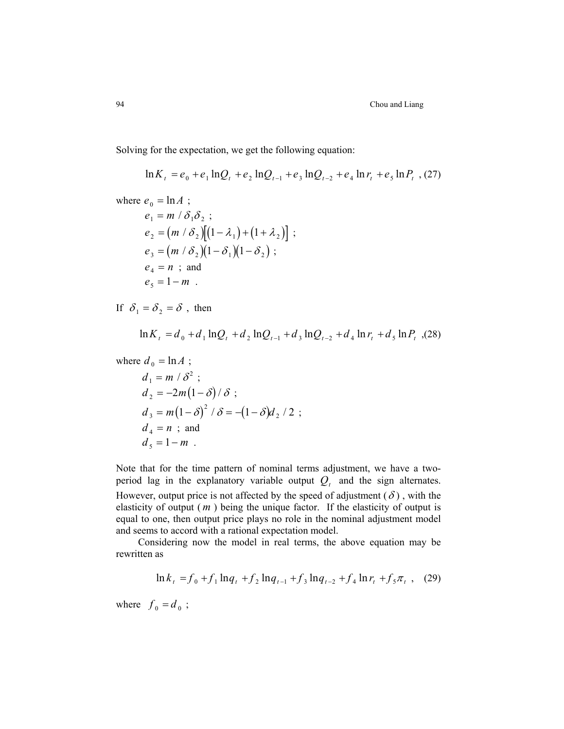Solving for the expectation, we get the following equation:

$$
\ln K_t = e_0 + e_1 \ln Q_t + e_2 \ln Q_{t-1} + e_3 \ln Q_{t-2} + e_4 \ln r_t + e_5 \ln P_t, (27)
$$

where 
$$
e_0 = \ln A
$$
;  
\n $e_1 = m / \delta_1 \delta_2$ ;  
\n $e_2 = (m / \delta_2) [(1 - \lambda_1) + (1 + \lambda_2)]$ ;  
\n $e_3 = (m / \delta_2) (1 - \delta_1) (1 - \delta_2)$ ;  
\n $e_4 = n$ ; and  
\n $e_5 = 1 - m$ .

If  $\delta_1 = \delta_2 = \delta$ , then

$$
\ln K_t = d_0 + d_1 \ln Q_t + d_2 \ln Q_{t-1} + d_3 \ln Q_{t-2} + d_4 \ln r_t + d_5 \ln P_t
$$
 (28)

where 
$$
d_0 = \ln A
$$
;

$$
d_1 = m / \delta^2 ;
$$
  
\n
$$
d_2 = -2m(1 - \delta) / \delta ;
$$
  
\n
$$
d_3 = m(1 - \delta)^2 / \delta = -(1 - \delta) d_2 / 2 ;
$$
  
\n
$$
d_4 = n ;
$$
 and  
\n
$$
d_5 = 1 - m .
$$

Note that for the time pattern of nominal terms adjustment, we have a twoperiod lag in the explanatory variable output  $Q_t$  and the sign alternates. However, output price is not affected by the speed of adjustment  $(\delta)$ , with the elasticity of output  $(m)$  being the unique factor. If the elasticity of output is equal to one, then output price plays no role in the nominal adjustment model and seems to accord with a rational expectation model.

Considering now the model in real terms, the above equation may be rewritten as

$$
\ln k_t = f_0 + f_1 \ln q_t + f_2 \ln q_{t-1} + f_3 \ln q_{t-2} + f_4 \ln r_t + f_5 \pi_t , \quad (29)
$$

where  $f_0 = d_0$ ;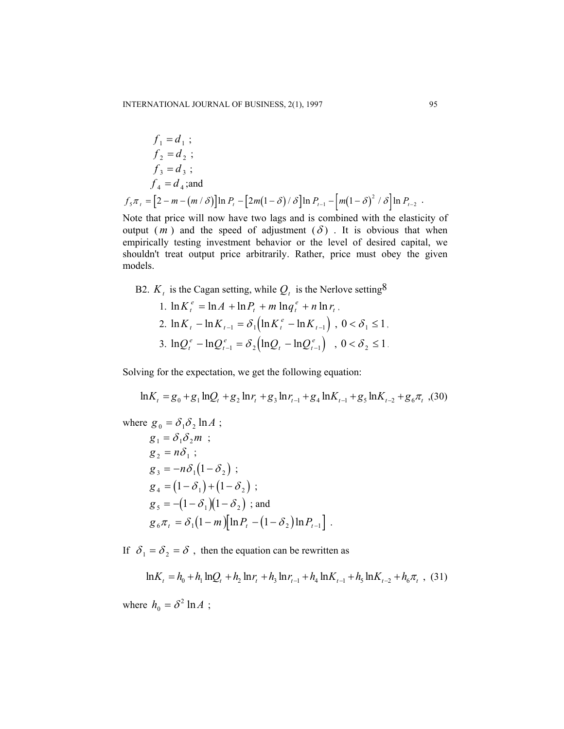$$
f_1 = d_1 ;
$$
  
\n
$$
f_2 = d_2 ;
$$
  
\n
$$
f_3 = d_3 ;
$$
  
\n
$$
f_4 = d_4 ;
$$
 and  
\n
$$
f_5 \pi_t = [2 - m - (m/\delta)] \ln P_t - [2m(1 - \delta)/\delta] \ln P_{t-1} - [m(1 - \delta)^2/\delta] \ln P_{t-2} .
$$
 Note that using will now have true log and is combined with the electrical

Note that price will now have two lags and is combined with the elasticity of output  $(m)$  and the speed of adjustment  $(\delta)$ . It is obvious that when empirically testing investment behavior or the level of desired capital, we shouldn't treat output price arbitrarily. Rather, price must obey the given models.

# B2.  $K_t$  is the Cagan setting, while  $Q_t$  is the Nerlove setting<sup>8</sup>

1. 
$$
\ln K_t^e = \ln A + \ln P_t + m \ln q_t^e + n \ln r_t
$$
,  
\n2.  $\ln K_t - \ln K_{t-1} = \delta_1 (\ln K_t^e - \ln K_{t-1})$ ,  $0 < \delta_1 \le 1$ ,  
\n3.  $\ln Q_t^e - \ln Q_{t-1}^e = \delta_2 (\ln Q_t - \ln Q_{t-1}^e)$ ,  $0 < \delta_2 \le 1$ .

Solving for the expectation, we get the following equation:

$$
\ln K_t = g_0 + g_1 \ln Q_t + g_2 \ln r_t + g_3 \ln r_{t-1} + g_4 \ln K_{t-1} + g_5 \ln K_{t-2} + g_6 \pi_t
$$
 (30)

where 
$$
g_0 = \delta_1 \delta_2 \ln A
$$
;  
\n $g_1 = \delta_1 \delta_2 m$ ;  
\n $g_2 = n \delta_1$ ;  
\n $g_3 = -n \delta_1 (1 - \delta_2)$ ;  
\n $g_4 = (1 - \delta_1) + (1 - \delta_2)$ ;  
\n $g_5 = -(1 - \delta_1)(1 - \delta_2)$ ; and  
\n $g_6 \pi_t = \delta_1 (1 - m) [\ln P_t - (1 - \delta_2) \ln P_{t-1}]$ .

If  $\delta_1 = \delta_2 = \delta$ , then the equation can be rewritten as

$$
\ln K_t = h_0 + h_1 \ln Q_t + h_2 \ln r_t + h_3 \ln r_{t-1} + h_4 \ln K_{t-1} + h_5 \ln K_{t-2} + h_6 \pi_t ,
$$
 (31)

where  $h_0 = \delta^2 \ln A$ ;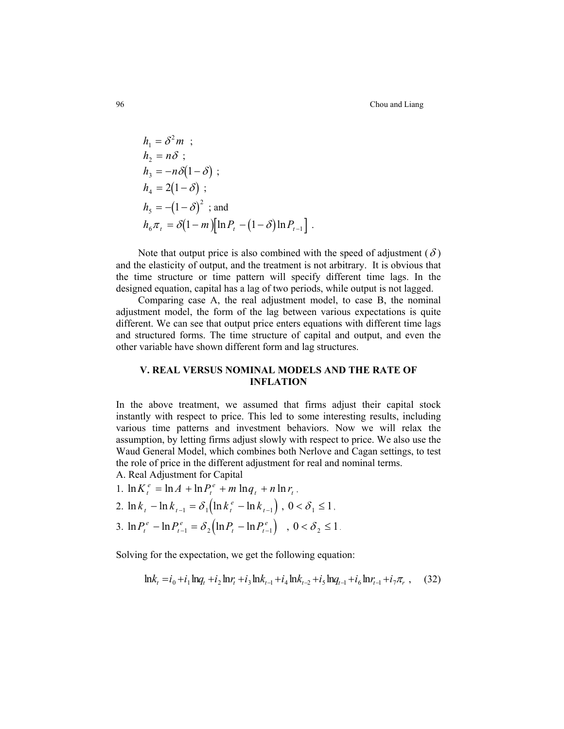$$
h_1 = \delta^2 m ;
$$
  
\n
$$
h_2 = n\delta ;
$$
  
\n
$$
h_3 = -n\delta(1 - \delta) ;
$$
  
\n
$$
h_4 = 2(1 - \delta) ;
$$
  
\n
$$
h_5 = -(1 - \delta)^2 ;
$$
 and  
\n
$$
h_6 \pi_t = \delta(1 - m) [\ln P_t - (1 - \delta) \ln P_{t-1} ].
$$

Note that output price is also combined with the speed of adjustment ( $\delta$ ) and the elasticity of output, and the treatment is not arbitrary. It is obvious that the time structure or time pattern will specify different time lags. In the designed equation, capital has a lag of two periods, while output is not lagged.

Comparing case A, the real adjustment model, to case B, the nominal adjustment model, the form of the lag between various expectations is quite different. We can see that output price enters equations with different time lags and structured forms. The time structure of capital and output, and even the other variable have shown different form and lag structures.

# **V. REAL VERSUS NOMINAL MODELS AND THE RATE OF INFLATION**

In the above treatment, we assumed that firms adjust their capital stock instantly with respect to price. This led to some interesting results, including various time patterns and investment behaviors. Now we will relax the assumption, by letting firms adjust slowly with respect to price. We also use the Waud General Model, which combines both Nerlove and Cagan settings, to test the role of price in the different adjustment for real and nominal terms.

A. Real Adjustment for Capital

- 1.  $\ln K_t^e = \ln A + \ln P_t^e + m \ln q_t + n \ln r_t$ ,
- 2.  $\ln k_{t} \ln k_{t-1} = \delta_1 \left( \ln k_{t}^{e} \ln k_{t-1} \right)$ ,  $0 < \delta_1 \le 1$ ,
- 3.  $\ln P_t^e \ln P_{t-1}^e = \delta_2 (\ln P_t \ln P_{t-1}^e)$ , *t e*  $-\ln P_{t-1}^e = \delta_2 \left( \ln P_t - \ln P_{t-1}^e \right)$  ,  $0 < \delta_2 \le 1$ .

Solving for the expectation, we get the following equation:

$$
\ln k_t = i_0 + i_1 \ln q_t + i_2 \ln r_t + i_3 \ln k_{t-1} + i_4 \ln k_{t-2} + i_5 \ln q_{t-1} + i_6 \ln r_{t-1} + i_7 \pi_r ,
$$
 (32)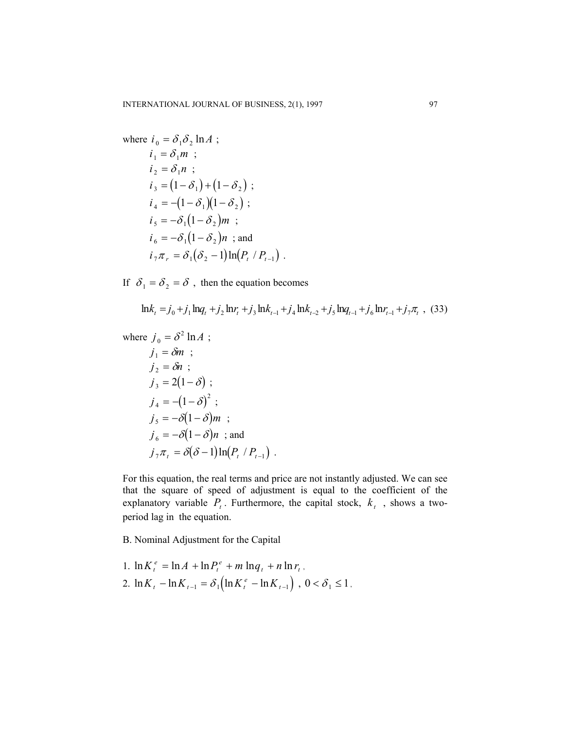where 
$$
i_0 = \delta_1 \delta_2 \ln A
$$
;  
\n $i_1 = \delta_1 m$ ;  
\n $i_2 = \delta_1 n$ ;  
\n $i_3 = (1 - \delta_1) + (1 - \delta_2)$ ;  
\n $i_4 = -(1 - \delta_1)(1 - \delta_2)$ ;  
\n $i_5 = -\delta_1(1 - \delta_2)m$ ;  
\n $i_6 = -\delta_1(1 - \delta_2)n$  ; and  
\n $i_7 \pi_r = \delta_1(\delta_2 - 1)\ln(P_t / P_{t-1})$ .

If  $\delta_1 = \delta_2 = \delta$ , then the equation becomes

$$
\ln k_t = j_0 + j_1 \ln q_t + j_2 \ln r_t + j_3 \ln k_{t-1} + j_4 \ln k_{t-2} + j_5 \ln q_{t-1} + j_6 \ln r_{t-1} + j_7 \pi_t ,
$$
 (33)

where 
$$
j_0 = \delta^2 \ln A
$$
;  
\n $j_1 = \delta m$ ;  
\n $j_2 = \delta n$ ;  
\n $j_3 = 2(1 - \delta)$ ;  
\n $j_4 = -(1 - \delta)^2$ ;  
\n $j_5 = -\delta(1 - \delta)m$ ;  
\n $j_6 = -\delta(1 - \delta)n$  ; and  
\n $j_7 \pi_t = \delta(\delta - 1) \ln(P_t / P_{t-1})$ .

For this equation, the real terms and price are not instantly adjusted. We can see that the square of speed of adjustment is equal to the coefficient of the explanatory variable  $P_t$ . Furthermore, the capital stock,  $k_t$ , shows a twoperiod lag in the equation.

B. Nominal Adjustment for the Capital

1. 
$$
\ln K_t^e = \ln A + \ln P_t^e + m \ln q_t + n \ln r_t
$$
,  
\n2.  $\ln K_t - \ln K_{t-1} = \delta_1 (\ln K_t^e - \ln K_{t-1})$ ,  $0 < \delta_1 \le 1$ ,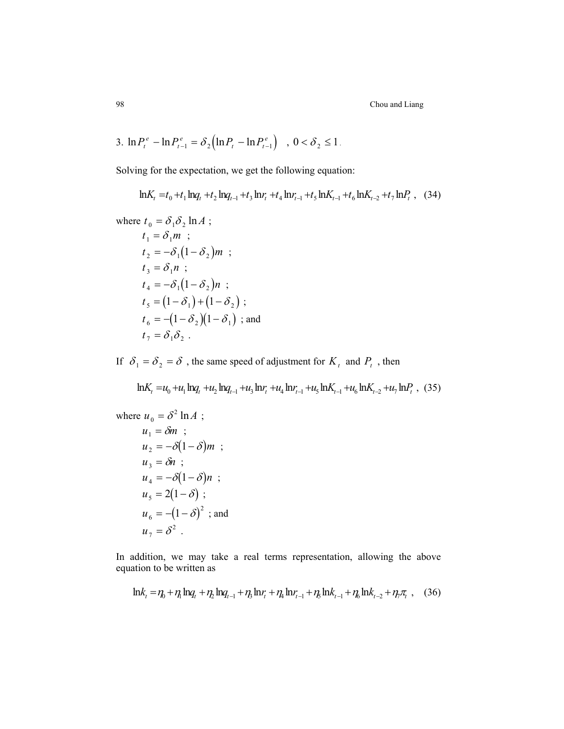98 Chou and Liang

3. 
$$
\ln P_t^e - \ln P_{t-1}^e = \delta_2 \left( \ln P_t - \ln P_{t-1}^e \right)
$$
,  $0 < \delta_2 \le 1$ .

Solving for the expectation, we get the following equation:

 $\mathrm{ln} K_{t} = t_{0} + t_{1} \mathrm{ln} q_{t} + t_{2} \mathrm{ln} q_{t-1} + t_{3} \mathrm{ln} r_{t} + t_{4} \mathrm{ln} r_{t-1} + t_{5} \mathrm{ln} K_{t-1} + t_{6} \mathrm{ln} K_{t-2} + t_{7} \mathrm{ln} P_{t}$ , (34)

where 
$$
t_0 = \delta_1 \delta_2 \ln A
$$
;  
\n $t_1 = \delta_1 m$ ;  
\n $t_2 = -\delta_1 (1 - \delta_2) m$ ;  
\n $t_3 = \delta_1 n$ ;  
\n $t_4 = -\delta_1 (1 - \delta_2) n$ ;  
\n $t_5 = (1 - \delta_1) + (1 - \delta_2)$ ;  
\n $t_6 = -(1 - \delta_2)(1 - \delta_1)$ ; and  
\n $t_7 = \delta_1 \delta_2$ .

If  $\delta_1 = \delta_2 = \delta$ , the same speed of adjustment for  $K_t$  and  $P_t$ , then

$$
\ln K_t = u_0 + u_1 \ln q_t + u_2 \ln q_{t-1} + u_3 \ln r_t + u_4 \ln r_{t-1} + u_5 \ln K_{t-1} + u_6 \ln K_{t-2} + u_7 \ln P_t
$$
, (35)

where 
$$
u_0 = \delta^2 \ln A
$$
;  
\n $u_1 = \delta m$ ;  
\n $u_2 = -\delta(1-\delta)m$ ;  
\n $u_3 = \delta n$ ;  
\n $u_4 = -\delta(1-\delta)n$ ;  
\n $u_5 = 2(1-\delta)$ ;  
\n $u_6 = -(1-\delta)^2$ ; and  
\n $u_7 = \delta^2$ .

In addition, we may take a real terms representation, allowing the above equation to be written as

$$
\ln k_{t} = \eta_{0} + \eta_{1} \ln q_{t} + \eta_{2} \ln q_{t-1} + \eta_{3} \ln r_{t} + \eta_{4} \ln r_{t-1} + \eta_{5} \ln k_{t-1} + \eta_{6} \ln k_{t-2} + \eta_{7} \pi_{t} , \quad (36)
$$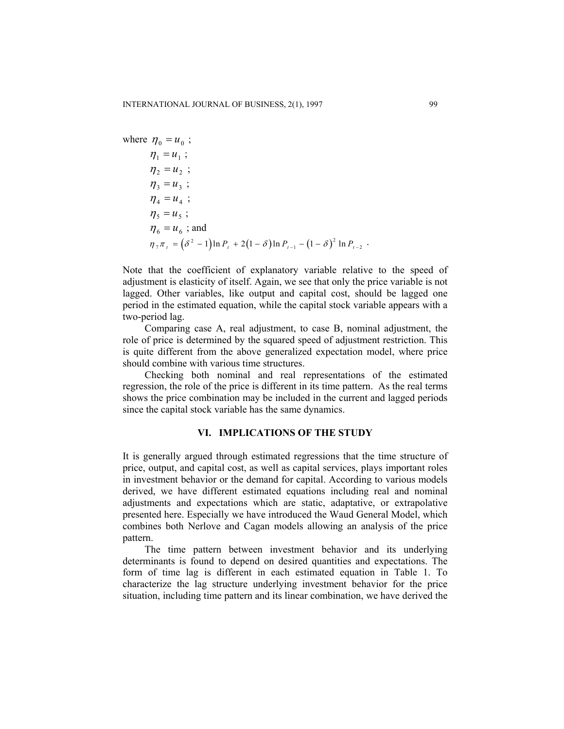where 
$$
\eta_0 = u_0
$$
;  
\n $\eta_1 = u_1$ ;  
\n $\eta_2 = u_2$ ;  
\n $\eta_3 = u_3$ ;  
\n $\eta_4 = u_4$ ;  
\n $\eta_5 = u_5$ ;  
\n $\eta_6 = u_6$ ;  
\nand  
\n $\eta_7 \pi_t = (\delta^2 - 1) \ln P_t + 2(1 - \delta) \ln P_{t-1} - (1 - \delta)^2 \ln P_{t-2}$ .

Note that the coefficient of explanatory variable relative to the speed of adjustment is elasticity of itself. Again, we see that only the price variable is not lagged. Other variables, like output and capital cost, should be lagged one period in the estimated equation, while the capital stock variable appears with a two-period lag.

Comparing case A, real adjustment, to case B, nominal adjustment, the role of price is determined by the squared speed of adjustment restriction. This is quite different from the above generalized expectation model, where price should combine with various time structures.

Checking both nominal and real representations of the estimated regression, the role of the price is different in its time pattern. As the real terms shows the price combination may be included in the current and lagged periods since the capital stock variable has the same dynamics.

### **VI. IMPLICATIONS OF THE STUDY**

It is generally argued through estimated regressions that the time structure of price, output, and capital cost, as well as capital services, plays important roles in investment behavior or the demand for capital. According to various models derived, we have different estimated equations including real and nominal adjustments and expectations which are static, adaptative, or extrapolative presented here. Especially we have introduced the Waud General Model, which combines both Nerlove and Cagan models allowing an analysis of the price pattern.

The time pattern between investment behavior and its underlying determinants is found to depend on desired quantities and expectations. The form of time lag is different in each estimated equation in Table 1. To characterize the lag structure underlying investment behavior for the price situation, including time pattern and its linear combination, we have derived the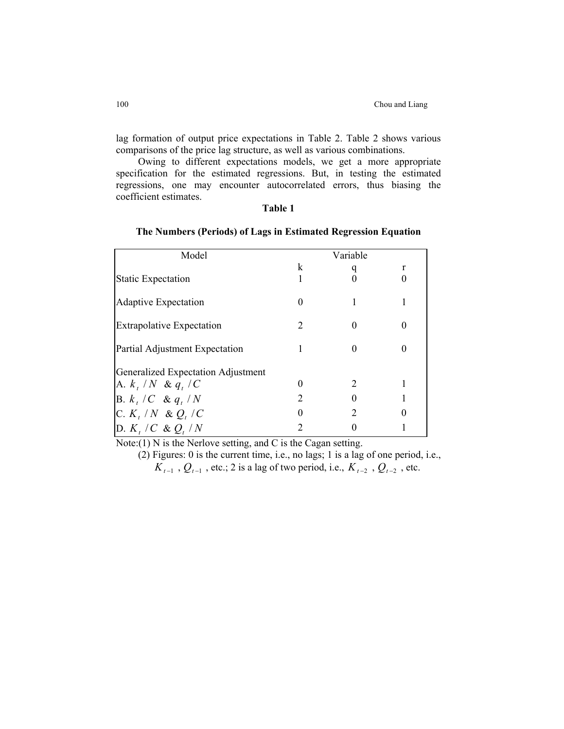lag formation of output price expectations in Table 2. Table 2 shows various comparisons of the price lag structure, as well as various combinations.

Owing to different expectations models, we get a more appropriate specification for the estimated regressions. But, in testing the estimated regressions, one may encounter autocorrelated errors, thus biasing the coefficient estimates.

### **Table 1**

### **The Numbers (Periods) of Lags in Estimated Regression Equation**

| Model                              |                             | Variable                    |   |
|------------------------------------|-----------------------------|-----------------------------|---|
|                                    | k                           |                             | r |
| <b>Static Expectation</b>          |                             |                             |   |
| <b>Adaptive Expectation</b>        |                             |                             |   |
| <b>Extrapolative Expectation</b>   |                             |                             |   |
| Partial Adjustment Expectation     |                             |                             |   |
| Generalized Expectation Adjustment |                             |                             |   |
| A. $k, /N \& q, /C$                |                             | $\mathcal{D}_{\mathcal{L}}$ |   |
| $B. k_t / C \& q_t / N$            | $\mathcal{D}_{\mathcal{L}}$ |                             |   |
| C. $K_t / N \& Q_t / C$            |                             |                             |   |
| D. $K, /C \& Q, /N$                |                             |                             |   |

Note:(1) N is the Nerlove setting, and C is the Cagan setting.

(2) Figures: 0 is the current time, i.e., no lags; 1 is a lag of one period, i.e.,  $K_{t-1}$ ,  $Q_{t-1}$ , etc.; 2 is a lag of two period, i.e.,  $K_{t-2}$ ,  $Q_{t-2}$ , etc.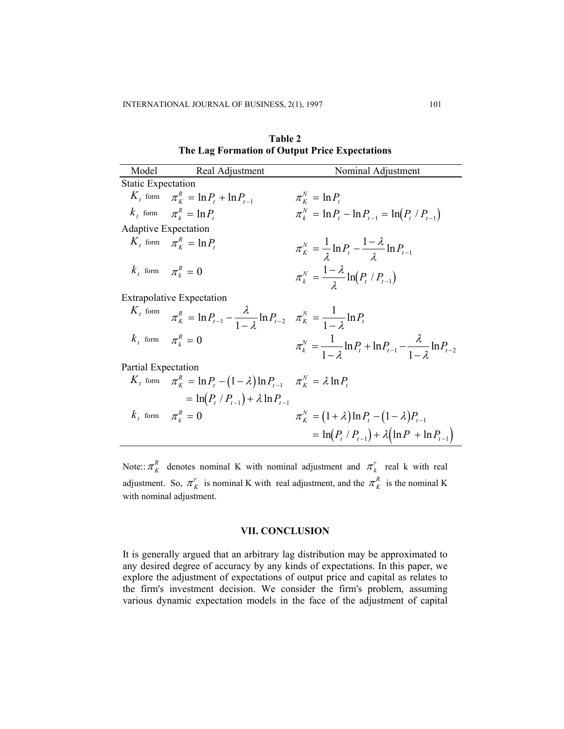**Table 2 The Lag Formation of Output Price Expectations** 

| Model                       | Real Adjustment                                                                                 | Nominal Adjustment                                                                    |  |  |
|-----------------------------|-------------------------------------------------------------------------------------------------|---------------------------------------------------------------------------------------|--|--|
| <b>Static Expectation</b>   |                                                                                                 |                                                                                       |  |  |
|                             | $K_t$ form $\pi_K^R = \ln P_t + \ln P_{t-1}$                                                    | $\pi_{K}^{N} = \ln P_{t}$                                                             |  |  |
|                             | $k_t$ form $\pi_k^R = \ln P_t$                                                                  | $\pi_{k}^{N} = \ln P_{t} - \ln P_{t-1} = \ln (P_{t} / P_{t-1})$                       |  |  |
| <b>Adaptive Expectation</b> |                                                                                                 |                                                                                       |  |  |
|                             | $K_t$ form $\pi_k^R = \ln P_t$                                                                  | $\pi_{K}^{N} = \frac{1}{\lambda} \ln P_{t} - \frac{1 - \lambda}{\lambda} \ln P_{t-1}$ |  |  |
|                             | $k_t$ form $\pi_k^R = 0$                                                                        | $\pi_k^N = \frac{1-\lambda}{i} \ln (P_t / P_{t-1})$                                   |  |  |
|                             | <b>Extrapolative Expectation</b>                                                                |                                                                                       |  |  |
| $K_t$ form                  | $\pi_K^R = \ln P_{t-1} - \frac{\lambda}{1-a} \ln P_{t-2} \quad \pi_K^N = \frac{1}{1-a} \ln P_t$ |                                                                                       |  |  |
|                             | $k_t$ form $\pi_k^R = 0$                                                                        | $\pi_k^N = \frac{1}{1-z} \ln P_t + \ln P_{t-1} - \frac{\lambda}{1-z} \ln P_{t-2}$     |  |  |
| Partial Expectation         |                                                                                                 |                                                                                       |  |  |
|                             | $K_t$ form $\pi_K^R = \ln P_t - (1 - \lambda) \ln P_{t-1}$ $\pi_K^N = \lambda \ln P_t$          |                                                                                       |  |  |
|                             | $= \ln(P_t / P_{t-1}) + \lambda \ln P_{t-1}$                                                    |                                                                                       |  |  |
|                             | $k_{t}$ form $\pi^{R}_{t}=0$                                                                    | $\pi_K^N = (1 + \lambda) \ln P_t - (1 - \lambda) P_{t-1}$                             |  |  |
|                             |                                                                                                 | $= \ln(P_t / P_{t-1}) + \lambda (\ln P + \ln P_{t-1})$                                |  |  |

Note::  $\pi_K^R$  denotes nominal K with nominal adjustment and  $\pi_k^r$  real k with real adjustment. So,  $\pi_K^r$  is nominal K with real adjustment, and the  $\pi_K^R$  is the nominal K with nominal adjustment.

### **VII. CONCLUSION**

It is generally argued that an arbitrary lag distribution may be approximated to any desired degree of accuracy by any kinds of expectations. In this paper, we explore the adjustment of expectations of output price and capital as relates to the firm's investment decision. We consider the firm's problem, assuming various dynamic expectation models in the face of the adjustment of capital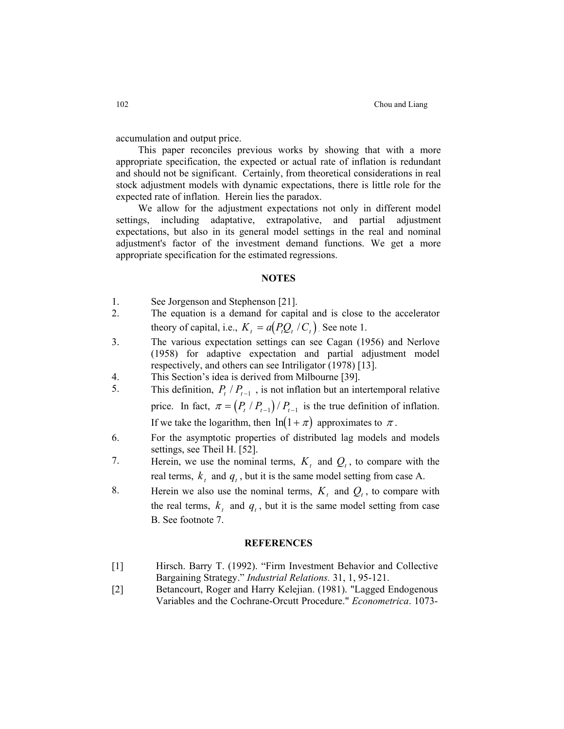accumulation and output price.

This paper reconciles previous works by showing that with a more appropriate specification, the expected or actual rate of inflation is redundant and should not be significant. Certainly, from theoretical considerations in real stock adjustment models with dynamic expectations, there is little role for the expected rate of inflation. Herein lies the paradox.

We allow for the adjustment expectations not only in different model settings, including adaptative, extrapolative, and partial adjustment expectations, but also in its general model settings in the real and nominal adjustment's factor of the investment demand functions. We get a more appropriate specification for the estimated regressions.

#### **NOTES**

- 1. See Jorgenson and Stephenson [21].
- 2. The equation is a demand for capital and is close to the accelerator theory of capital, i.e.,  $K_t = a(P_t Q_t / C_t)$ . See note 1.
- 3. The various expectation settings can see Cagan (1956) and Nerlove (1958) for adaptive expectation and partial adjustment model respectively, and others can see Intriligator (1978) [13].
- 4. This Section's idea is derived from Milbourne [39].
- 5. This definition,  $P_t / P_{t-1}$ , is not inflation but an intertemporal relative price. In fact,  $\pi = (P_t / P_{t-1}) / P_{t-1}$  is the true definition of inflation.

If we take the logarithm, then  $ln(1 + \pi)$  approximates to  $\pi$ .

- 6. For the asymptotic properties of distributed lag models and models settings, see Theil H. [52].
- 7. Herein, we use the nominal terms, and *Q* , to compare with the *Kt <sup>t</sup>* real terms,  $k_t$  and  $q_t$ , but it is the same model setting from case A.
- 8. Herein we also use the nominal terms,  $K_t$  and  $Q_t$ , to compare with the real terms,  $k_t$  and  $q_t$ , but it is the same model setting from case B. See footnote 7.

#### **REFERENCES**

- [1] Hirsch. Barry T. (1992). "Firm Investment Behavior and Collective Bargaining Strategy." *Industrial Relations.* 31, 1, 95-121.
- [2] Betancourt, Roger and Harry Kelejian. (1981). "Lagged Endogenous Variables and the Cochrane-Orcutt Procedure." *Econometrica*. 1073-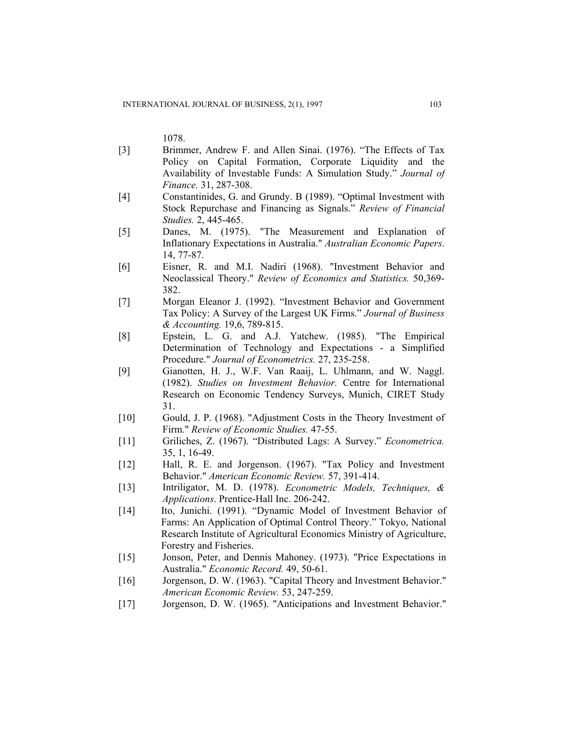1078.

- [3] Brimmer, Andrew F. and Allen Sinai. (1976). "The Effects of Tax Policy on Capital Formation, Corporate Liquidity and the Availability of Investable Funds: A Simulation Study." *Journal of Finance.* 31, 287-308.
- [4] Constantinides, G. and Grundy. B (1989). "Optimal Investment with Stock Repurchase and Financing as Signals." *Review of Financial Studies.* 2, 445-465.
- [5] Danes, M. (1975). "The Measurement and Explanation of Inflationary Expectations in Australia." *Australian Economic Papers*. 14, 77-87.
- [6] Eisner, R. and M.I. Nadiri (1968). "Investment Behavior and Neoclassical Theory." *Review of Economics and Statistics.* 50,369- 382.
- [7] Morgan Eleanor J. (1992). "Investment Behavior and Government Tax Policy: A Survey of the Largest UK Firms." *Journal of Business & Accounting.* 19,6, 789-815.
- [8] Epstein, L. G. and A.J. Yatchew. (1985). "The Empirical Determination of Technology and Expectations - a Simplified Procedure." *Journal of Econometrics.* 27, 235-258.
- [9] Gianotten, H. J., W.F. Van Raaij, L. Uhlmann, and W. Naggl. (1982). *Studies on Investment Behavior.* Centre for International Research on Economic Tendency Surveys, Munich, CIRET Study 31.
- [10] Gould, J. P. (1968). "Adjustment Costs in the Theory Investment of Firm." *Review of Economic Studies.* 47-55.
- [11] Griliches, Z. (1967). "Distributed Lags: A Survey." *Econometrica.* 35, 1, 16-49.
- [12] Hall, R. E. and Jorgenson. (1967). "Tax Policy and Investment Behavior." *American Economic Review.* 57, 391-414.
- [13] Intriligator, M. D. (1978). *Econometric Models, Techniques, & Applications*. Prentice-Hall Inc. 206-242.
- [14] Ito, Junichi. (1991). "Dynamic Model of Investment Behavior of Farms: An Application of Optimal Control Theory." Tokyo, National Research Institute of Agricultural Economics Ministry of Agriculture, Forestry and Fisheries.
- [15] Jonson, Peter, and Dennis Mahoney. (1973). "Price Expectations in Australia." *Economic Record.* 49, 50-61.
- [16] Jorgenson, D. W. (1963). "Capital Theory and Investment Behavior." *American Economic Review.* 53, 247-259.
- [17] Jorgenson, D. W. (1965). "Anticipations and Investment Behavior."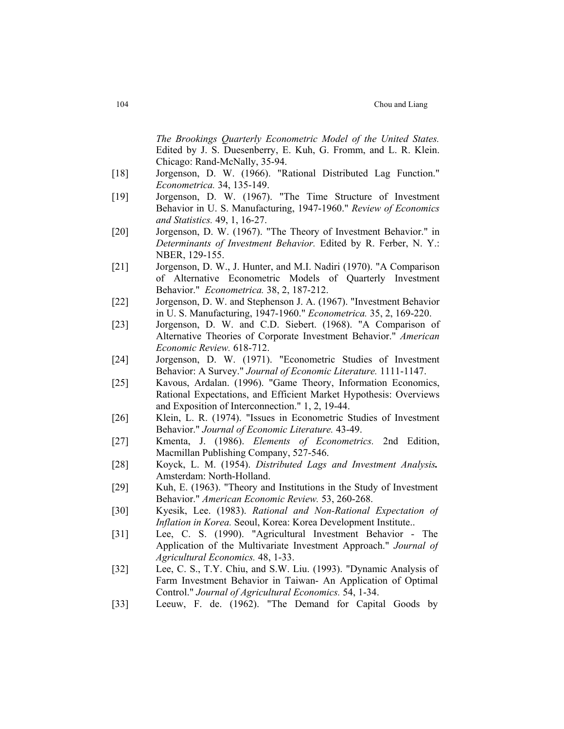|        | The Brookings Quarterly Econometric Model of the United States.<br>Edited by J. S. Duesenberry, E. Kuh, G. Fromm, and L. R. Klein.<br>Chicago: Rand-McNally, 35-94.                          |
|--------|----------------------------------------------------------------------------------------------------------------------------------------------------------------------------------------------|
| [18]   | Jorgenson, D. W. (1966). "Rational Distributed Lag Function."<br>Econometrica. 34, 135-149.                                                                                                  |
| [19]   | Jorgenson, D. W. (1967). "The Time Structure of Investment<br>Behavior in U. S. Manufacturing, 1947-1960." Review of Economics<br>and Statistics. 49, 1, 16-27.                              |
| $[20]$ | Jorgenson, D. W. (1967). "The Theory of Investment Behavior." in<br>Determinants of Investment Behavior. Edited by R. Ferber, N. Y.:<br>NBER, 129-155.                                       |
| $[21]$ | Jorgenson, D. W., J. Hunter, and M.I. Nadiri (1970). "A Comparison<br>of Alternative Econometric Models of Quarterly Investment<br>Behavior." <i>Econometrica</i> . 38, 2, 187-212.          |
| $[22]$ | Jorgenson, D. W. and Stephenson J. A. (1967). "Investment Behavior<br>in U.S. Manufacturing, 1947-1960." Econometrica. 35, 2, 169-220.                                                       |
| $[23]$ | Jorgenson, D. W. and C.D. Siebert. (1968). "A Comparison of<br>Alternative Theories of Corporate Investment Behavior." American<br>Economic Review. 618-712.                                 |
| $[24]$ | Jorgenson, D. W. (1971). "Econometric Studies of Investment<br>Behavior: A Survey." Journal of Economic Literature. 1111-1147.                                                               |
| $[25]$ | Kavous, Ardalan. (1996). "Game Theory, Information Economics,<br>Rational Expectations, and Efficient Market Hypothesis: Overviews<br>and Exposition of Interconnection." 1, 2, 19-44.       |
| $[26]$ | Klein, L. R. (1974). "Issues in Econometric Studies of Investment<br>Behavior." Journal of Economic Literature. 43-49.                                                                       |
| $[27]$ | Kmenta, J. (1986). Elements of Econometrics. 2nd Edition,<br>Macmillan Publishing Company, 527-546.                                                                                          |
| [28]   | Koyck, L. M. (1954). Distributed Lags and Investment Analysis.<br>Amsterdam: North-Holland.                                                                                                  |
| $[29]$ | Kuh, E. (1963). "Theory and Institutions in the Study of Investment<br>Behavior." American Economic Review. 53, 260-268.                                                                     |
| $[30]$ | Kyesik, Lee. (1983). Rational and Non-Rational Expectation of<br>Inflation in Korea. Seoul, Korea: Korea Development Institute                                                               |
| $[31]$ | Lee, C. S. (1990). "Agricultural Investment Behavior - The<br>Application of the Multivariate Investment Approach." Journal of<br>Agricultural Economics. 48, 1-33.                          |
| $[32]$ | Lee, C. S., T.Y. Chiu, and S.W. Liu. (1993). "Dynamic Analysis of<br>Farm Investment Behavior in Taiwan- An Application of Optimal<br>Control." Journal of Agricultural Economics. 54, 1-34. |
| $[33]$ | Leeuw, F. de. (1962). "The Demand for Capital Goods by                                                                                                                                       |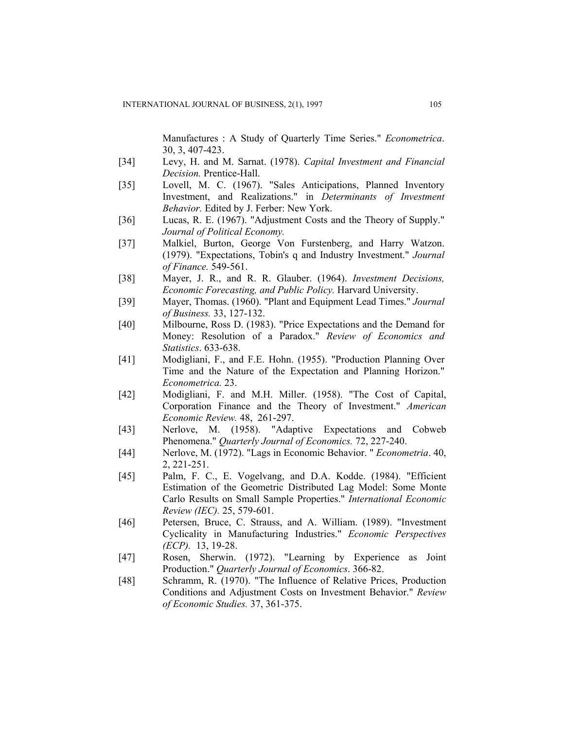Manufactures : A Study of Quarterly Time Series." *Econometrica*. 30, 3, 407-423.

- [34] Levy, H. and M. Sarnat. (1978). *Capital Investment and Financial Decision.* Prentice-Hall.
- [35] Lovell, M. C. (1967). "Sales Anticipations, Planned Inventory Investment, and Realizations." in *Determinants of Investment Behavior.* Edited by J. Ferber: New York.
- [36] Lucas, R. E. (1967). "Adjustment Costs and the Theory of Supply." *Journal of Political Economy.*
- [37] Malkiel, Burton, George Von Furstenberg, and Harry Watzon. (1979). "Expectations, Tobin's q and Industry Investment." *Journal of Finance.* 549-561.
- [38] Mayer, J. R., and R. R. Glauber. (1964). *Investment Decisions, Economic Forecasting, and Public Policy.* Harvard University.
- [39] Mayer, Thomas. (1960). "Plant and Equipment Lead Times." *Journal of Business.* 33, 127-132.
- [40] Milbourne, Ross D. (1983). "Price Expectations and the Demand for Money: Resolution of a Paradox." *Review of Economics and Statistics*. 633-638.
- [41] Modigliani, F., and F.E. Hohn. (1955). "Production Planning Over Time and the Nature of the Expectation and Planning Horizon." *Econometrica.* 23.
- [42] Modigliani, F. and M.H. Miller. (1958). "The Cost of Capital, Corporation Finance and the Theory of Investment." *American Economic Review.* 48, 261-297.
- [43] Nerlove, M. (1958). "Adaptive Expectations and Cobweb Phenomena." *Quarterly Journal of Economics.* 72, 227-240.
- [44] Nerlove, M. (1972). "Lags in Economic Behavior. " *Econometria*. 40, 2, 221-251.
- [45] Palm, F. C., E. Vogelvang, and D.A. Kodde. (1984). "Efficient Estimation of the Geometric Distributed Lag Model: Some Monte Carlo Results on Small Sample Properties." *International Economic Review (IEC).* 25, 579-601.
- [46] Petersen, Bruce, C. Strauss, and A. William. (1989). "Investment Cyclicality in Manufacturing Industries." *Economic Perspectives (ECP).* 13, 19-28.
- [47] Rosen, Sherwin. (1972). "Learning by Experience as Joint Production." *Quarterly Journal of Economics*. 366-82.
- [48] Schramm, R. (1970). "The Influence of Relative Prices, Production Conditions and Adjustment Costs on Investment Behavior." *Review of Economic Studies.* 37, 361-375.